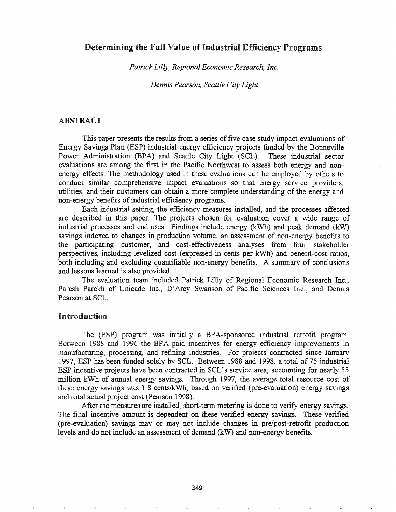## Determining the Full Value of Industrial Efficiency Programs

*Patrick Lilly, Regional Economic Research, Inc.* 

*Dennis Pearson, Seattle City Light*

### ABSTRACT

This paper presents the results from a series of five case study impact evaluations of Energy Savings Plan (ESP) industrial energy efficiency projects funded by the Bonneville Power Administration (BPA) and Seattle City Light (SCL). These industrial sector evaluations are among the first in the Pacific Northwest to assess both energy and nonenergy effects. The methodology used in these evaluations can be employed by others to conduct similar comprehensive impact evaluations so that energy service providers, utilities, and their customers can obtain a more complete understanding of the energy and non-energy benefits of industrial efficiency programs.

Each industrial setting, the efficiency measures installed, and the processes affected are described in this paper. The projects chosen for evaluation cover a wide range of industrial processes and end uses. Findings include energy (kWh) and peak demand (kW) savings indexed to changes in production volume, an assessment of non-energy benefits to the participating customer, and cost-effectiveness analyses from four stakeholder perspectives, including levelized cost (expressed in cents per kWh) and benefit-cost ratios, both including and excluding quantifiable non-energy benefits. A summary of conclusions and lessons learned is also provided.

The evaluation team included Patrick Lilly of Regional Economic Research Inc., Paresh Parekh of Unicade Inc., D'Arey Swanson of Pacific Sciences Inc., and Dennis Pearson at SCL.

## Introduction

The (ESP) program was initially a BPA-sponsored industrial retrofit program. Between 1988 and 1996 the BPA paid incentives for energy efficiency improvements in manufacturing, processing, and refining industries. For projects contracted since January 1997, ESP has been funded solely by SCL. Between 1988 and 1998, a total of 75 industrial ESP incentive projects have been contracted in SCL's service area, accounting for nearly 55 million kWh of annual energy savings. Through 1997, the average total resource cost of these energy savings was  $1.8$  cents/kWh, based on verified (pre-evaluation) energy savings and total actual project cost (pearson 1998).

After the measures are installed, short-term metering is done to verify energy savings. final incentive amount is dependent on these verified energy savings. These verified (pre-evaluation) savings may or may not include changes in pre/post-retrofit production levels and do not include an assessment of demand (kW) and non-energy benefits.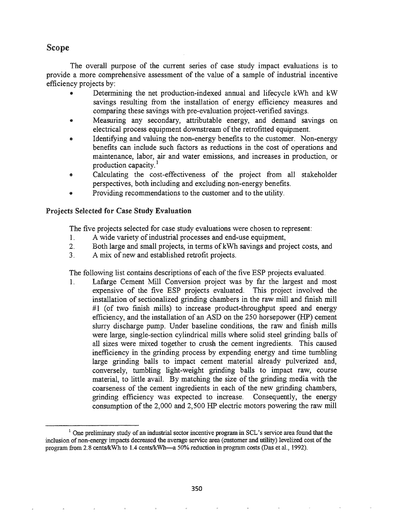# Scope

The overall purpose of the current series of case study impact evaluations is to provide a more comprehensive assessment of the value of a sample of industrial incentive efficiency projects by:

- Determining the net production-indexed annual and lifecycle kWh and kW savings resulting from the installation of energy efficiency measures and comparing these savings with pre-evaluation project-verified savings.
- Measuring any secondary, attributable energy, and demand savings on electrical process equipment downstream of the retrofitted equipment.
- Identifying and valuing the non-energy benefits to the customer. Non-energy benefits can include such factors as reductions in the cost of operations and maintenance, labor, air and water emissions, and increases in production, or production capacity.!
- Calculating the cost-effectiveness of the project from all stakeholder perspectives, both including and excluding non-energy benefits.
- Providing recommendations to the customer and to the utility.

## Projects Selected for Case Study Evaluation

The five projects selected for case study evaluations were chosen to represent:

- 1. A wide variety of industrial processes and end-use equipment,
- 2. Both large and small projects, in terms of kWh savings and project costs, and
- 3. A mix of new and established retrofit projects.

The following list contains descriptions of each of the five ESP projects evaluated.

1. Lafarge Cement Mill Conversion project was by far the largest and most expensive of the five ESP projects evaluated. This project involved the installation of sectionalized grinding chambers in the raw mill and finish mill #1 (of two finish mills) to increase product-throughput speed and energy efficiency, and the installation of an ASD on the 250 horsepower (HP) cement slurry discharge pump. Under baseline conditions, the raw and finish mills were large, single-section cylindrical mills where solid steel grinding balls of all sizes were mixed together to crush the cement ingredients. This caused inefficiency in the grinding process by expending energy and time tumbling large grinding balls to impact cement material already pulverized and, conversely, tumbling light-weight grinding balls to impact raw, course material, to little avail. By matching the size of the grinding media with the coarseness of the cement ingredients in each of the new grinding chambers, grinding efficiency was expected to increase. Consequently, the energy consumption of the  $2,000$  and  $2,500$  HP electric motors powering the raw mill

 $<sup>1</sup>$  One preliminary study of an industrial sector incentive program in SCL's service area found that the</sup> inclusion of non-energy impacts decreased the average service area (customer and utility) levelized cost of the program from 2.8 cents/kWh to 1.4 cents/kWh-a 50% reduction in program costs (Das et al., 1992).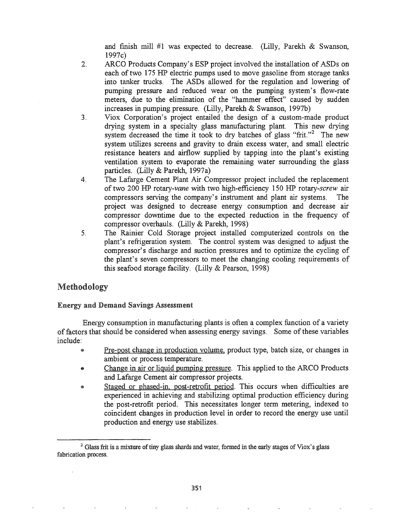and finish mill  $#1$  was expected to decrease. (Lilly, Parekh & Swanson, 1997c)

- 2. ARCO Products Company's ESP project involved the installation of ASDs on each of two 175 HP electric pumps used to move gasoline from storage tanks into tanker trucks. The ASDs allowed for the regulation and lowering of pumping pressure and reduced wear on the pumping system's flow-rate meters, due to the elimination of the "hammer effect" caused by sudden increases in pumping pressure. (Lilly, Parekh & Swanson, 1997b)
- 3. Viox Corporation's project entailed the design of a custom-made product drying system in a specialty glass manufacturing plant. This new drying system decreased the time it took to dry batches of glass "frit."<sup>2</sup> The new system utilizes screens and gravity to drain excess water, and small electric resistance heaters and airflow supplied by tapping into the plant's existing ventilation system to evaporate the remaining water surrounding the glass particles. (Lilly & Parekh, 1997a)
- 4. The Lafarge Cement Plant Air Compressor project included the replacement of two 200 HP *rotary-vane* with two high-efficiency 150 HP *rotary-screw* air compressors serving the company's instrument and plant air systems. The project was designed to decrease energy consumption and decrease air compressor downtime due to the expected reduction in the frequency of compressor overhauls. (Lilly & Parekh, 1998)
- 5. The Rainier Cold Storage project installed computerized controls on the plant's refrigeration system. The control system was designed to adjust the compressor's discharge and suction pressures and to optimize the cycling of the plant's seven compressors to meet the changing cooling requirements of this seafood storage facility. (Lilly & Pearson, 1998)

# Methodology

## Energy and Demand Savings Assessment

Energy consumption in manufacturing plants is often a complex function of a variety of factors that should be considered when assessing energy savings. Some of these variables include:

- Pre-post change in production volume, product type, batch size, or changes in ambient or process temperature.
- Change in air or liquid pumping pressure. This applied to the ARCO Products  $\bullet$ and Lafarge Cement air compressor projects.
- Staged or phased-in, post-retrofit period. This occurs when difficulties are ø, experienced in achieving and stabilizing optimal production efficiency during the post-retrofit period. This necessitates longer term metering, indexed to coincident changes in production level in order to record the energy use until production and energy use stabilizes.

 $2$  Glass frit is a mixture of tiny glass shards and water, formed in the early stages of Viox's glass fabrication process.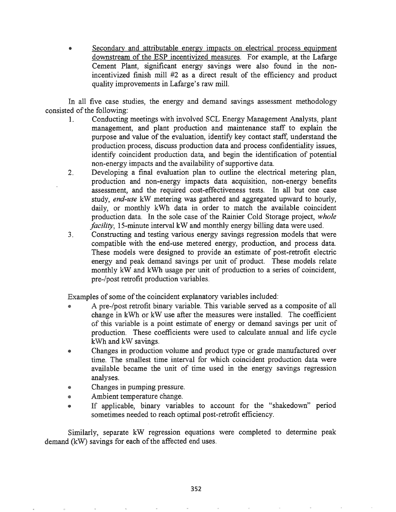Secondary and attributable energy impacts on electrical process equipment downstream of the ESP incentivized measures. For example, at the Lafarge Cement Plant, significant energy savings were also found in the nonincentivized finish mill #2 as a direct result of the efficiency and product quality improvements in Lafarge's raw mill.

In all five case studies, the energy and demand savings assessment methodology consisted of the following:

- 1. Conducting meetings with involved SCL Energy Management Analysts, plant management, and plant production and maintenance staff to explain the purpose and value of the evaluation, identify key contact staff, understand the production process, discuss production data and process confidentiality issues, identify coincident production data, and begin the identification of potential non-energy impacts and the availability of supportive data.
- 2. Developing a fmal evaluation plan to outline the electrical metering plan, production and non-energy impacts data acquisition, non-energy benefits assessment, and the required cost-effectiveness tests. In all but one case study, *end-use* kW metering was gathered and aggregated upward to hourly, daily, or monthly kWh data in order to match the available coincident production data. In the sole case of the Rainier Cold Storage project, *whole facility*, 15-minute interval kW and monthly energy billing data were used.
- 3. Constructing and testing various energy savings regression models that were compatible with the end-use metered energy, production, and process data. These models were designed to provide an estimate of post-retrofit electric energy and peak demand savings per unit of product. These models relate monthly kW and kWh usage per unit of production to a series of coincident, pre-/post retrofit production variables.

Examples of some of the coincident explanatory variables included:

- A pre-/post retrofit binary variable. This variable served as a composite of all change in kWh or kW use after the measures were installed. The coefficient of this variable is a point estimate of energy or demand savings per unit of production. These coefficients were used to calculate annual and life cycle kWh and kW savings.
- Changes in production volume and product type or grade manufactured over time. The smallest time interval for which coincident production data were available became the unit of time used in the energy savings regression analyses.
- Changes in pumping pressure.
- e Ambient temperature change.
- If applicable, binary variables to account for the "shakedown" period sometimes needed to reach optimal post-retrofit efficiency.

Similarly, separate kW regression equations were completed to determine peak demand  $(kW)$  savings for each of the affected end uses.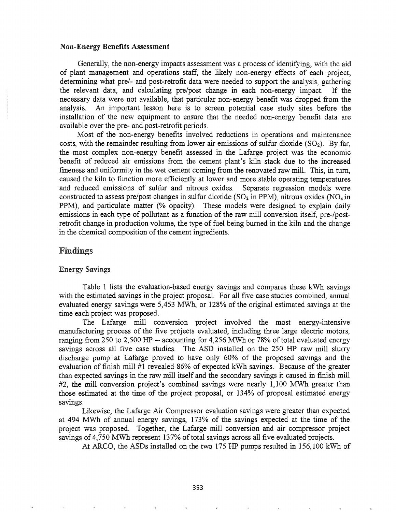#### Non-Energy Benefits Assessment

Generally, the non-energy impacts assessment was a process of identifying, with the aid of plant management and operations staff: the likely non-energy effects of each project, determining what pre/- and post-retrofit data were needed to support the analysis, gathering the relevant data, and calculating pre/post change in each non-energy impact. If the necessary data were not available, that particular non-energy benefit was dropped from the analysis. An important lesson here is to screen potential case study sites before the installation of the new equipment to ensure that the needed non-energy benefit data are available over the pre- and post-retrofit periods.

Most of the non-energy benefits involved reductions in operations and maintenance costs, with the remainder resulting from lower air emissions of sulfur dioxide  $(SO<sub>2</sub>)$ . By far, the most complex non-energy benefit assessed in the Lafarge project was the economic benefit of reduced air emissions from the cement plant's kiln stack due to the increased fmeness and uniformity in the wet cement coming from the renovated raw mill. This, in turn, caused the kiln to function more efficiently at lower and more stable operating temperatures and reduced emissions of sulfur and nitrous oxides. Separate regression models were constructed to assess pre/post changes in sulfur dioxide ( $SO<sub>2</sub>$  in PPM), nitrous oxides ( $NO<sub>x</sub>$  in PPM), and particulate matter (% opacity). These models were designed to explain daily emissions in each type of pollutant as a function of the raw mill conversion itself, pre-/postretrofit change in production volume, the type of fuel being burned in the kiln and the change in the chemical composition of the cement ingredients.

#### Findings

#### Energy Savings

Table 1 lists the evaluation-based energy savings and compares these kWh savings with the estimated savings in the project proposal. For all five case studies combined, annual evaluated energy savings were 5,453 MWh, or 128% of the original estimated savings at the time each project was proposed.

The Lafarge mill conversion project involved the most energy-intensive manufacturing process of the five projects evaluated, including three large electric motors, ranging from 250 to 2,500 HP -- accounting for 4,256 MWh or 78% of total evaluated energy savings across all five case studies. The ASD installed on the 250 HP raw mill slurry discharge pump at Lafarge proved to have only 60% of the proposed savings and the evaluation of finish mill #1 revealed 86% of expected kWh savings. Because of the greater than expected savings in the raw mill itself and the secondary savings it caused in finish mill #2, the mill conversion project's combined savings were nearly 1,100 MWh greater than those estimated at the time of the project proposal, or 134% of proposal estimated energy savings.

Likewise, the Lafarge Air Compressor evaluation savings were greater than expected at 494 MWh of annual energy savings, 173% of the savings expected at the time of the project was proposed. Together, the Lafarge mill conversion and air compressor project savings of 4,750 MWh represent 137% of total savings across all five evaluated projects.

At ARCO, the ASDs installed on the two 175 HP pumps resulted in 156,100 kWh of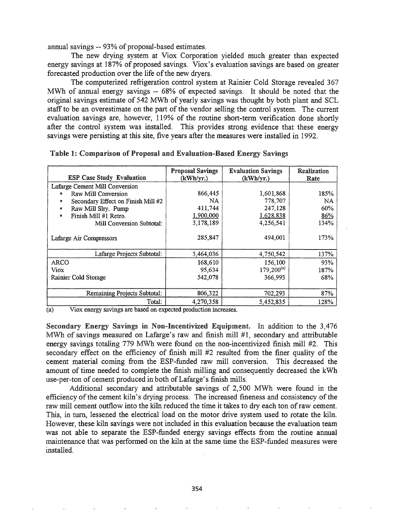annual savings  $-$  93% of proposal-based estimates.

The new drying system at Viox Corporation yielded much greater than expected energy savings at 187% of proposed savings. Viox's evaluation savings are based on greater forecasted production over the life of the new dryers.

The computerized refrigeration control system at Rainier Cold Storage revealed 367 MWh of annual energy savings -- 68% of expected savings. It should be noted that the original savings estimate of 542 MWh of yearly savings was thought by both plant and SCL staff to be an overestimate on the part of the vendor selling the control system. The current evaluation savings are, however, 119% of the routine short-term verification done shortly after the control system was installed. This provides strong evidence that these energy savings were persisting at this site, five years after the measures were installed in 1992.

| <b>ESP Case Study Evaluation</b>        | <b>Proposal Savings</b><br>(kWh/yr.) | <b>Evaluation Savings</b><br>(kWh/yr.) | Realization<br>Rate |
|-----------------------------------------|--------------------------------------|----------------------------------------|---------------------|
| Lafarge Cement Mill Conversion          |                                      |                                        |                     |
| Raw Mill Conversion                     | 866,445                              | 1,601,868                              | 185%                |
| Secondary Effect on Finish Mill #2<br>翮 | NA.                                  | 778,707                                | NA                  |
| Raw Mill Slry. Pump<br>靈                | 411,744                              | 247,128                                | 60%                 |
| Finish Mill #1 Retro.<br>關              | 1,900,000                            | 1,628,838                              | 86%                 |
| Mill Conversion Subtotal:               | 3,178,189                            | 4,256,541                              | 134%                |
| Lafarge Air Compressors                 | 285,847                              | 494,001                                | 173%                |
| Lafarge Projects Subtotal:              | 3,464,036                            | 4,750,542                              | 137%                |
| ARCO                                    | 168,610                              | 156,100                                | 93%                 |
| Viox                                    | 95,634                               | $179,200^{(a)}$                        | 187%                |
| Rainier Cold Storage                    | 542,078                              | 366,993                                | 68%                 |
|                                         |                                      |                                        |                     |
| Remaining Projects Subtotal:            | 806,322                              | 702,293                                | 87%                 |
| Total:                                  | 4,270,358                            | 5,452,835                              | 128%                |

Table 1: Comparison of Proposal and Evaluation-Based Energy Savings

(a) Viox energy savings are based on expected production increases.

Secondary Energy Savings in Non-Incentivized Equipment. In addition to the  $3,476$ MWh of savings measured on Lafarge's raw and finish mill #1, secondary and attributable energy savings totaling 779 MWh were found on the non-incentivized finish. mill #2. This secondary effect on the efficiency of finish mill #2 resulted from the finer quality of the cement material coming from the ESP-funded raw mill conversion. This decreased the amount of time needed to complete the finish milling and consequently decreased the kWh use-per-ton of cement produced in both of Lafarge's finish mills.

Additional secondary and attributable savings of 2,500 MWh were found in the efficiency of the cement kiln's drying process. The increased fineness and consistency of the raw mill cement outflow into the kiln reduced the time it takes to dry each ton ofraw cement. This, in tum, lessened the electrical load on the motor drive system used to rotate the kiln. However, these kiln savings were not included in this evaluation because the evaluation team was not able to separate the ESP-funded energy savings effects from the routine annual maintenance that was performed on the kiln at the same time the ESP-funded measures were installed.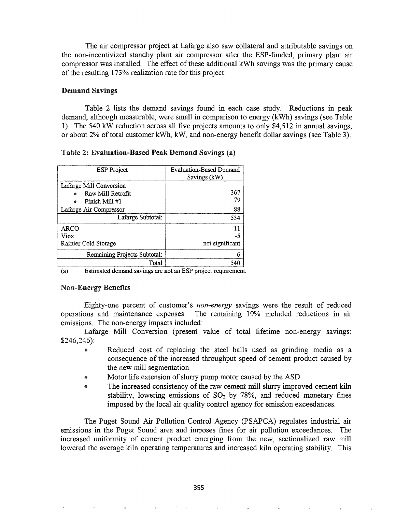The air compressor project at Lafarge also saw collateral and attributable savings on the non-incentivized standby plant air compressor after the ESP-funded, primary plant air compressor was installed. The effect of these additional kWh savings was the primary cause of the resulting 173% realization rate for this project.

#### Demand Savings

Table 2 lists the demand savings found in each case study. Reductions in peak demand, although measurable, were small in comparison to energy (kWh) savings (see Table 1). The 540 kW reduction across all five projects amounts to only \$4,512 in annual savings, or about 2% of total customer kWh, kW, and non-energy benefit dollar savings (see Table 3).

#### Table 2: Evaluation-Based Peak Demand Savings (a)

| <b>ESP</b> Project                                                       | <b>Evaluation-Based Demand</b><br>Savings (kW) |  |
|--------------------------------------------------------------------------|------------------------------------------------|--|
| Lafarge Mill Conversion<br>Raw Mill Retrofit<br>Finish Mill #1<br>۵      | 367<br>79                                      |  |
| Lafarge Air Compressor                                                   | 88                                             |  |
| Lafarge Subtotal:                                                        | 534                                            |  |
| ARCO<br>Viox                                                             | 11<br>-5                                       |  |
| Rainier Cold Storage                                                     | not significant                                |  |
| Remaining Projects Subtotal:                                             | 6                                              |  |
| Total<br>$E$ atim ata dalamand garringo ana nat an $ECD$ musical $\cdot$ | 540                                            |  |

(a) Estimated demand savings are not an ESP project requirement.

### Non-Energy Benefits

Eighty-one percent of customer's *non-energy* savings were the result of reduced operations and maintenance expenses. The remaining 19% included reductions in air emissions. The non-energy impacts included:

Lafarge Mill Conversion (present value of total lifetime non-energy savings: \$246,246):

- Reduced cost of replacing the steel balls used as grinding media as a consequence of the increased throughput speed of cement product caused by the new mill segmentation.
- Motor life extension of slurry pump motor caused by the ASD.
- The increased consistency of the raw cement mill slurry improved cement kiln stability, lowering emissions of  $SO<sub>2</sub>$  by 78%, and reduced monetary fines imposed by the local air quality control agency for emission exceedances.

The Puget Sound Air Pollution Control Agency (PSAPCA) regulates industrial air emissions in the Puget Sound area and imposes fmes for air pollution exceedances. The increased uniformity of cement product emerging from the new, sectionalized raw mill lowered the average kiln operating temperatures and increased kiln operating stability. This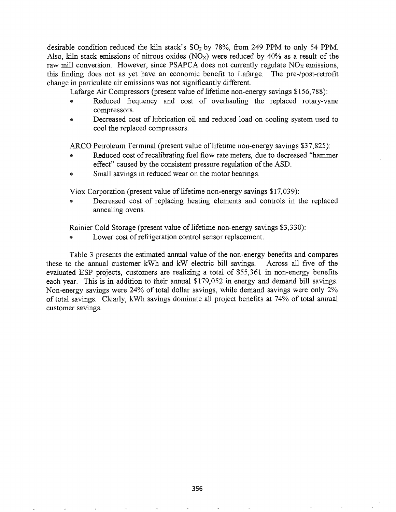desirable condition reduced the kiln stack's  $SO_2$  by 78%, from 249 PPM to only 54 PPM. Also, kiln stack emissions of nitrous oxides  $(NO_X)$  were reduced by 40% as a result of the raw mill conversion. However, since PSAPCA does not currently regulate  $NO<sub>x</sub>$  emissions, this finding does not as yet have an economic benefit to Lafarge. The pre-/post-retrofit change in particulate air emissions was not significantly different.

Lafarge Air Compressors (present value of lifetime non-energy savings  $$156,788$ ):

- Reduced frequency and cost of overhauling the replaced rotary-vane compressors.
- Decreased cost of lubrication oil and reduced load on cooling system used to cool the replaced compressors.

ARCO Petroleum Terminal (present value of lifetime non-energy savings \$37,825):

- Reduced cost of recalibrating fuel flow rate meters, due to decreased "hammer effect" caused by the consistent pressure regulation of the ASD.
- Small savings in reduced wear on the motor bearings.

Viox Corporation (present value of lifetime non-energy savings  $$17,039$ ):

Decreased cost of replacing heating elements and controls in the replaced annealing ovens.

Rainier Cold Storage (present value of lifetime non-energy savings \$3,330):

Lower cost of refrigeration control sensor replacement.

Table 3 presents the estimated annual value of the non-energy benefits and compares these to the annual customer kWh and kW electric bill savings. Across all five of the evaluated ESP projects, customers are realizing a total of \$55,361 in non-energy benefits each year. This is in addition to their annual \$179,052 in energy and demand bill savings. Non-energy savings were 24% of total dollar savings, while demand savings were only 2% of total savings. Clearly, kWh savings dominate all project benefits at 74% of total annual customer savings.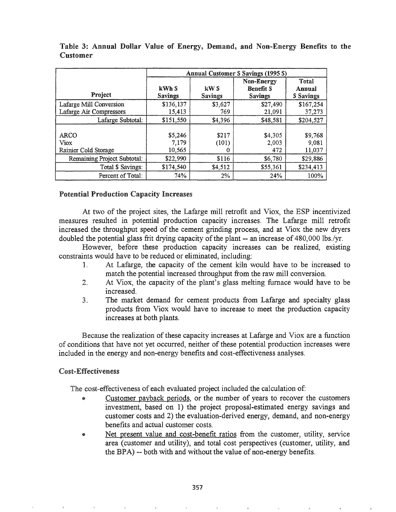|                                             | <b>Annual Customer S Savings (1995 \$)</b> |                        |                                           |                                     |  |
|---------------------------------------------|--------------------------------------------|------------------------|-------------------------------------------|-------------------------------------|--|
| Project                                     | kWh S<br><b>Savings</b>                    | kW S<br><b>Savings</b> | Non-Energy<br><b>Benefit S</b><br>Savings | Total<br>Annual<br><b>S</b> Savings |  |
| Lafarge Mill Conversion                     | \$136,137                                  | \$3,627                | \$27,490                                  | \$167,254                           |  |
| Lafarge Air Compressors                     | 15,413                                     | 769                    | 21.091                                    | 37,273                              |  |
| Lafarge Subtotal:                           | \$151,550                                  | \$4,396                | \$48,581                                  | \$204,527                           |  |
| <b>ARCO</b><br>Viox<br>Rainier Cold Storage | \$5,246<br>7,179<br>10,565                 | \$217<br>(101)         | \$4,305<br>2,003<br>472                   | \$9,768<br>9,081<br>11,037          |  |
| Remaining Project Subtotal:                 | \$22,990                                   | \$116                  | \$6,780                                   | \$29,886                            |  |
| Total \$ Savings:                           | \$174,540                                  | \$4,512                | \$55,361                                  | \$234,413                           |  |
| Percent of Total:                           | 74%                                        | $2\%$                  | 24%                                       | 100%                                |  |

Table 3: Annual Dollar Value of Energy, Demand, and Non-Energy Benefits to the Customer

## Potential Production Capacity Increases

At two of the project sites, the Lafarge mill retrofit and Viox, the ESP incentivized measures resulted in potential production capacity increases. The Lafarge mill retrofit increased the throughput speed of the cement grinding process, and at Viox the new dryers doubled the potential glass frit drying capacity of the plant -- an increase of 480,000 lbs./yr.

However, before these production capacity increases can be realized, existing constraints would have to be reduced or eliminated, including:

- 1. At Lafarge, the capacity of the cement kiln would have to be increased to match the potential increased throughput from the raw mill conversion.
- 2. At Viox, the capacity of the plant's glass melting furnace would have to be increased.
- 3. The market demand for cement products from Lafarge and specialty glass products from Viox would have to increase to meet the production capacity increases at both plants.

Because the realization of these capacity increases at Lafarge and Viox are a function of conditions that have not yet occurred, neither of these potential production increases were included in the energy and non-energy benefits and cost-effectiveness analyses.

## Cost-Effectiveness

The cost-effectiveness of each evaluated project included the calculation of:

- Customer payback periods, or the number of years to recover the customers investment, based on 1) the project proposal-estimated energy savings and customer costs and 2) the evaluation-derived energy, demand, and non-energy benefits and actual customer costs.
- Net present value and cost-benefit ratios from the customer, utility, service area (customer and utility), and total cost perspectives (customer, utility, and the BPA) -- both with and without the value of non-energy benefits.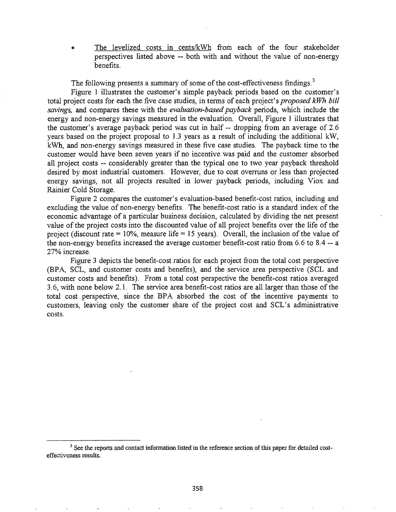The levelized costs in cents/kWh from each of the four stakeholder perspectives listed above -- both with and without the value of non-energy benefits.

The following presents a summary of some of the cost-effectiveness findings.<sup>3</sup>

Figure 1 illustrates the customer's simple payback periods based on the customer's total project costs for each the five case studies, in terms of each project's *proposed kWh bill savings,* and compares these with the *evaluation-based payback* periods, which include the energy and non-energy savings measured in the evaluation. Overall, Figure 1 illustrates that the customer's average payback period was cut in half -- dropping from an average of 2.6 years based on the project proposal to 1.3 years as a result of including the additional kW, kWh, and non-energy savings measured in these five case studies. The payback time to the customer would have been seven years if no incentive was paid and the customer absorbed all project costs -- considerably greater than the typical one to two year payback threshold desired by most industrial customers. However, due to cost overruns or less than projected energy savings, not all projects resulted in lower payback periods, including Viox and Rainier Cold Storage.

Figure 2 compares the customer's evaluation-based benefit-cost ratios, including and excluding the value of non-energy benefits. The benefit-cost ratio is a standard index of the economic advantage of a particular business decision, calculated by dividing the net present value of the project costs into the discounted value of all project benefits over the life of the project (discount rate =  $10\%$ , measure life = 15 years). Overall, the inclusion of the value of the non-energy benefits increased the average customer benefit-cost ratio from 6.6 to 8.4 -- a 27% increase.

Figure 3 depicts the benefit-cost ratios for each project from the total cost perspective (BPA, SCL, and customer costs and benefits), and the service area perspective (SCL and customer costs and benefits). From a total cost perspective the benefit-cost ratios averaged 3.6, with none below 2.1. The service area benefit-cost ratios are all larger than those of the total cost perspective, since the BPA absorbed the cost of the incentive payments to customers, leaving only the customer share of the project cost and SCL's administrative costs.

<sup>&</sup>lt;sup>3</sup> See the reports and contact information listed in the reference section of this paper for detailed costeffectiveness results.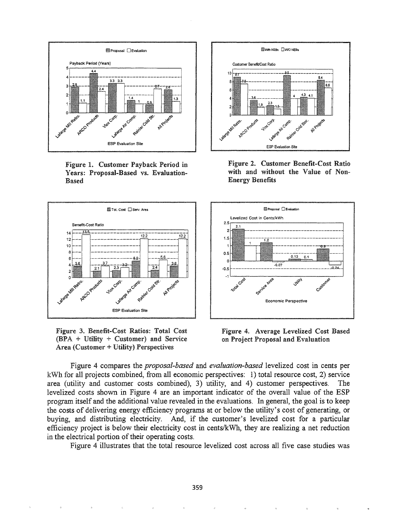

Figure 1. Customer Payback Period in Years: Proposal-Based vs. Evaluation-Based



Figure 3& Benefit-Cost Ratios: Total Cost (BPA + Utility + Customer) and Service  $Area$  (Customer + Utility) Perspectives



Figure 2. Customer Benefit-Cost Ratio with and without the Value of Non-Energy Benefits



Figure 4. Average Levelized Cost Based on Project Proposal and Evaluation

Figure 4 compares the *proposal-based* and *evaluation-based* levelized cost in cents per kWh for all projects combined, from all economic perspectives: 1) total resource cost, 2) service area (utility and customer costs combined), 3) utility, and 4) customer perspectives. The levelized costs shown in Figure 4 are an important indicator of the overall value of the ESP program itself and the additional value revealed in the evaluations. In general, the goal is to keep the costs of delivering energy efficiency programs at or below the utility's cost of generating, or buying, and distributing electricity. And, if the customer's levelized cost for a particular efficiency project is below their electricity cost in cents/kWh, they are realizing a net reduction in the electrical portion of their operating costs.

Figure 4 illustrates that the total resource levelized cost across all five case studies was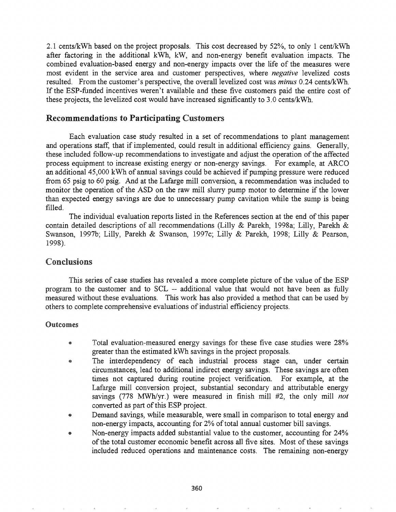2.1 cents/kWh based on the project proposals. This cost decreased by 52%, to only 1 cent/kWh after factoring in the additional kWh, kW, and non-energy benefit evaluation impacts. The combined evaluation-based energy and non-energy impacts over the life of the measures were most evident in the service area and customer perspectives, where *negative* levelized costs resulted. From the customer's perspective, the overall levelized cost was *minus* 0.24 cents/kWh. If the ESP-funded incentives weren't available and these five customers paid the entire cost of these projects, the levelized cost would have increased significantly to 3.0 cents/kWh.

## Recommendations to Participating Customers

Each evaluation case study resulted in a set of recommendations to plant management and operations staff, that if implemented, could result in additional efficiency gains. Generally, these included follow-up recommendations to investigate and adjust the operation of the affected process equipment to increase existing energy or non-energy savings. For example, at ARCO an additional 45,000 kWh of annual savings could be achieved if pumping pressure were reduced from 65 psig to 60 psig. And at the Lafarge mill conversion, a recommendation was included to monitor the operation of the ASD on the raw mill slurry pump motor to determine if the lower than expected energy savings are due to unnecessary pump cavitation while the sump is being filled.

The individual evaluation reports listed in the References section at the end of this paper contain detailed descriptions of all recommendations (Lilly & Parekh, 1998a; Lilly, Parekh & Swanson, 1997b; Lilly, Parekh & Swanson, 1997c; Lilly & Parekh, 1998; Lilly & Pearson, 1998).

## Conclusions

This series of case studies has revealed a more complete picture of the value of the ESP program to the customer and to SCL -- additional value that would not have been as fully measured without these evaluations. This work has also provided a method that can be used by others to complete comprehensive evaluations of industrial efficiency projects.

### **Outcomes**

- @ Total evaluation-measured energy savings for these five case studies were 28% greater than the estimated kWh savings in the project proposals.
- The interdependency of each industrial process stage can, under certain ۳ circumstances, lead to additional indirect energy savings. These savings are often times not captured during routine project verification. For example, at the Lafarge mill conversion project, substantial secondary and attributable energy savings (778 MWh/yr.) were measured in finish mill #2, the only mill *not* converted as part of this ESP project.
- Demand savings, while measurable, were small in comparison to total energy and non-energy impacts, accounting for 2% of total annual customer bill savings.
- Non-energy impacts added substantial value to the customer, accounting for 24% of the total customer economic benefit across all five sites. Most of these savings included reduced operations and maintenance costs. The remaining non-energy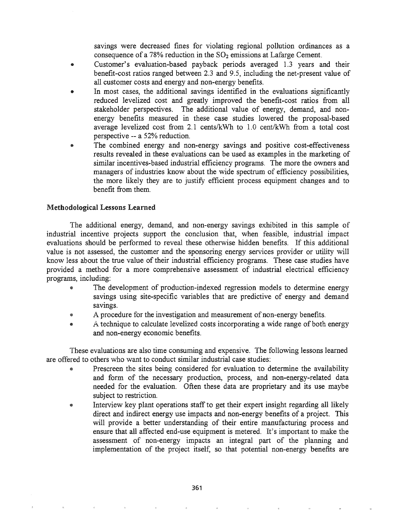savings were decreased fines for violating regional pollution ordinances as a consequence of a 78% reduction in the  $SO_2$  emissions at Lafarge Cement.

- Customer's evaluation-based payback periods averaged 1.3 years and their benefit-cost ratios ranged between 2.3 and 9.5, including the net-present value of all customer costs and energy and non-energy benefits.
- In most cases, the additional savings identified in the evaluations significantly reduced levelized cost and greatly improved the benefit-cost ratios from all stakeholder perspectives. The additional value of energy, demand, and nonenergy benefits measured in these case studies lowered the proposal-based average levelized cost from 2.1 cents/kWh to 1.0 cent/kWh from a total cost perspective -- a 52% reduction.
- The combined energy and non-energy savings and positive cost-effectiveness results revealed in these evaluations can be used as examples in the marketing of similar incentives-based industrial efficiency programs. The more the owners and managers of industries know about the wide spectrum of efficiency possibilities, the more likely they are to justify efficient process equipment changes and to benefit from them.

## Methodological Lessons Learned

The additional energy, demand, and non-energy savings exhibited in this sample of industrial incentive projects support the conclusion that, when feasible, industrial impact evaluations should be performed to reveal these otherwise hidden benefits. If this additional value is not assessed, the customer and the sponsoring energy services provider or utility will know less about the true value of their industrial efficiency programs. These case studies have provided a method for a more comprehensive assessment of industrial electrical efficiency programs, including:

- The development of production-indexed regression models to determine energy savings using site-specific variables that are predictive of energy and demand savings.
- A procedure for the investigation and measurement of non-energy benefits.
- A technique to calculate levelized costs incorporating a wide range of both energy and non-energy economic benefits.

These evaluations are also time consuming and expensive. The following lessons learned are offered to others who want to conduct similar industrial case studies:

- Prescreen the sites being considered for evaluation to determine the availability and form of the necessary production, process, and non-energy-related data needed for the evaluation. Often these data are proprietary and its use maybe subject to restriction.
- Interview key plant operations staff to get their expert insight regarding all likely direct and indirect energy use impacts and non-energy benefits of a project. This will provide a better understanding of their entire manufacturing process and ensure that all affected end-use equipment is metered. It's important to make the assessment of non-energy impacts an integral part of the planning and implementation of the project itself, so that potential non-energy benefits are